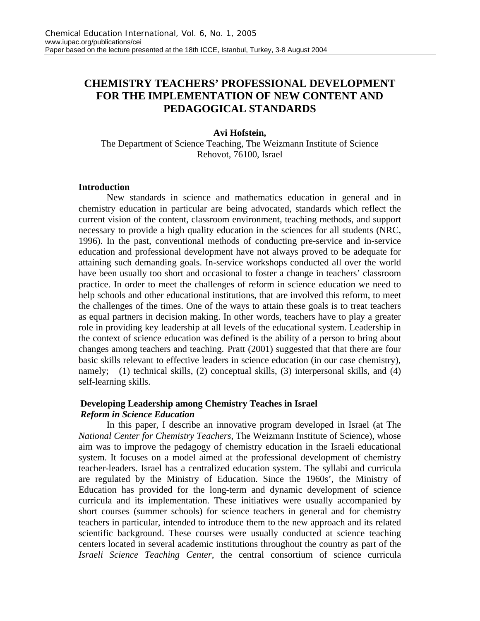# **CHEMISTRY TEACHERS' PROFESSIONAL DEVELOPMENT FOR THE IMPLEMENTATION OF NEW CONTENT AND PEDAGOGICAL STANDARDS**

## **Avi Hofstein,**

The Department of Science Teaching, The Weizmann Institute of Science Rehovot, 76100, Israel

### **Introduction**

New standards in science and mathematics education in general and in chemistry education in particular are being advocated, standards which reflect the current vision of the content, classroom environment, teaching methods, and support necessary to provide a high quality education in the sciences for all students (NRC, 1996). In the past, conventional methods of conducting pre-service and in-service education and professional development have not always proved to be adequate for attaining such demanding goals. In-service workshops conducted all over the world have been usually too short and occasional to foster a change in teachers' classroom practice. In order to meet the challenges of reform in science education we need to help schools and other educational institutions, that are involved this reform, to meet the challenges of the times. One of the ways to attain these goals is to treat teachers as equal partners in decision making. In other words, teachers have to play a greater role in providing key leadership at all levels of the educational system. Leadership in the context of science education was defined is the ability of a person to bring about changes among teachers and teaching. Pratt (2001) suggested that that there are four basic skills relevant to effective leaders in science education (in our case chemistry), namely; (1) technical skills, (2) conceptual skills, (3) interpersonal skills, and (4) self-learning skills.

# **Developing Leadership among Chemistry Teaches in Israel** *Reform in Science Education*

In this paper, I describe an innovative program developed in Israel (at The *National Center for Chemistry Teachers*, The Weizmann Institute of Science), whose aim was to improve the pedagogy of chemistry education in the Israeli educational system. It focuses on a model aimed at the professional development of chemistry teacher-leaders. Israel has a centralized education system. The syllabi and curricula are regulated by the Ministry of Education. Since the 1960s', the Ministry of Education has provided for the long-term and dynamic development of science curricula and its implementation. These initiatives were usually accompanied by short courses (summer schools) for science teachers in general and for chemistry teachers in particular, intended to introduce them to the new approach and its related scientific background. These courses were usually conducted at science teaching centers located in several academic institutions throughout the country as part of the *Israeli Science Teaching Center,* the central consortium of science curricula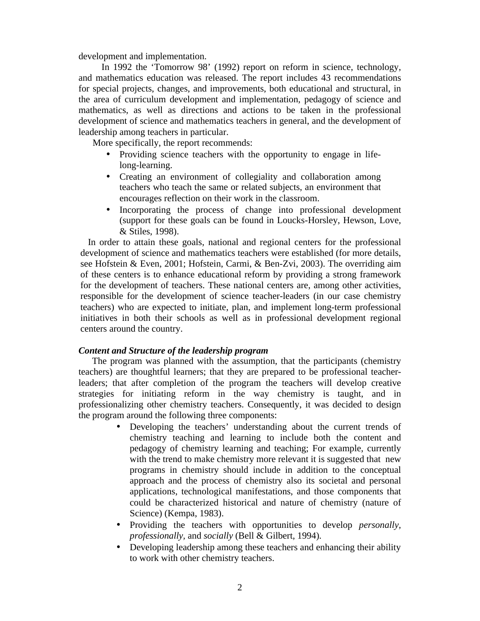development and implementation.

In 1992 the 'Tomorrow 98' (1992) report on reform in science, technology, and mathematics education was released. The report includes 43 recommendations for special projects, changes, and improvements, both educational and structural, in the area of curriculum development and implementation, pedagogy of science and mathematics, as well as directions and actions to be taken in the professional development of science and mathematics teachers in general, and the development of leadership among teachers in particular.

More specifically, the report recommends:

- Providing science teachers with the opportunity to engage in lifelong-learning.
- Creating an environment of collegiality and collaboration among teachers who teach the same or related subjects, an environment that encourages reflection on their work in the classroom.
- Incorporating the process of change into professional development (support for these goals can be found in Loucks-Horsley, Hewson, Love, & Stiles, 1998).

 In order to attain these goals, national and regional centers for the professional development of science and mathematics teachers were established (for more details, see Hofstein & Even, 2001; Hofstein, Carmi, & Ben-Zvi, 2003). The overriding aim of these centers is to enhance educational reform by providing a strong framework for the development of teachers. These national centers are, among other activities, responsible for the development of science teacher-leaders (in our case chemistry teachers) who are expected to initiate, plan, and implement long-term professional initiatives in both their schools as well as in professional development regional centers around the country.

### *Content and Structure of the leadership program*

 The program was planned with the assumption, that the participants (chemistry teachers) are thoughtful learners; that they are prepared to be professional teacherleaders; that after completion of the program the teachers will develop creative strategies for initiating reform in the way chemistry is taught, and in professionalizing other chemistry teachers. Consequently, it was decided to design the program around the following three components:

- Developing the teachers' understanding about the current trends of chemistry teaching and learning to include both the content and pedagogy of chemistry learning and teaching; For example, currently with the trend to make chemistry more relevant it is suggested that new programs in chemistry should include in addition to the conceptual approach and the process of chemistry also its societal and personal applications, technological manifestations, and those components that could be characterized historical and nature of chemistry (nature of Science) (Kempa, 1983).
- Providing the teachers with opportunities to develop *personally, professionally,* and *socially* (Bell & Gilbert, 1994)*.*
- Developing leadership among these teachers and enhancing their ability to work with other chemistry teachers.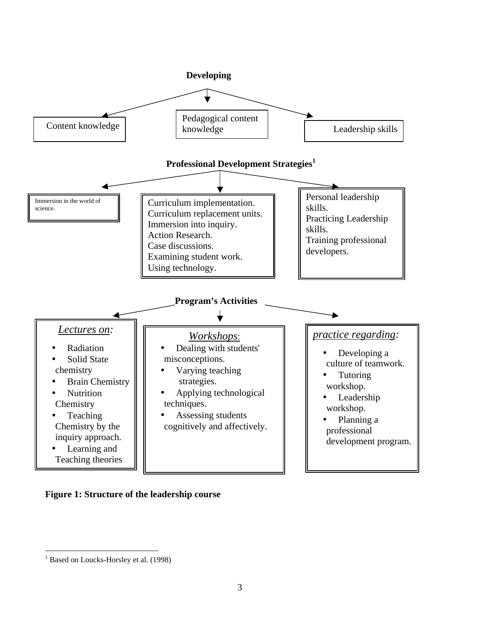



 $\overline{a}$ 

<sup>&</sup>lt;sup>1</sup> Based on Loucks-Horsley et al. (1998)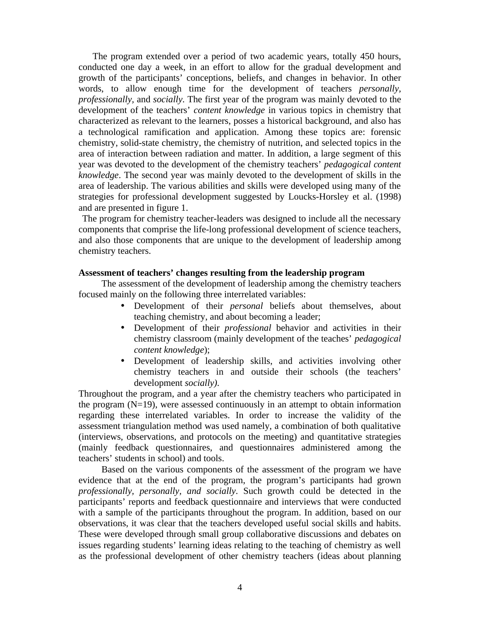The program extended over a period of two academic years, totally 450 hours, conducted one day a week, in an effort to allow for the gradual development and growth of the participants' conceptions, beliefs, and changes in behavior. In other words, to allow enough time for the development of teachers *personally, professionally,* and *socially*. The first year of the program was mainly devoted to the development of the teachers' *content knowledge* in various topics in chemistry that characterized as relevant to the learners, posses a historical background, and also has a technological ramification and application. Among these topics are: forensic chemistry, solid-state chemistry, the chemistry of nutrition, and selected topics in the area of interaction between radiation and matter. In addition, a large segment of this year was devoted to the development of the chemistry teachers' *pedagogical content knowledge*. The second year was mainly devoted to the development of skills in the area of leadership. The various abilities and skills were developed using many of the strategies for professional development suggested by Loucks-Horsley et al. (1998) and are presented in figure 1.

The program for chemistry teacher-leaders was designed to include all the necessary components that comprise the life-long professional development of science teachers, and also those components that are unique to the development of leadership among chemistry teachers.

#### **Assessment of teachers' changes resulting from the leadership program**

The assessment of the development of leadership among the chemistry teachers focused mainly on the following three interrelated variables:

- Development of their *personal* beliefs about themselves, about teaching chemistry, and about becoming a leader;
- Development of their *professional* behavior and activities in their chemistry classroom (mainly development of the teaches' *pedagogical content knowledge*);
- Development of leadership skills, and activities involving other chemistry teachers in and outside their schools (the teachers' development *socially).*

Throughout the program, and a year after the chemistry teachers who participated in the program  $(N=19)$ , were assessed continuously in an attempt to obtain information regarding these interrelated variables. In order to increase the validity of the assessment triangulation method was used namely, a combination of both qualitative (interviews, observations, and protocols on the meeting) and quantitative strategies (mainly feedback questionnaires, and questionnaires administered among the teachers' students in school) and tools.

Based on the various components of the assessment of the program we have evidence that at the end of the program, the program's participants had grown *professionally, personally, and socially*. Such growth could be detected in the participants' reports and feedback questionnaire and interviews that were conducted with a sample of the participants throughout the program. In addition, based on our observations, it was clear that the teachers developed useful social skills and habits. These were developed through small group collaborative discussions and debates on issues regarding students' learning ideas relating to the teaching of chemistry as well as the professional development of other chemistry teachers (ideas about planning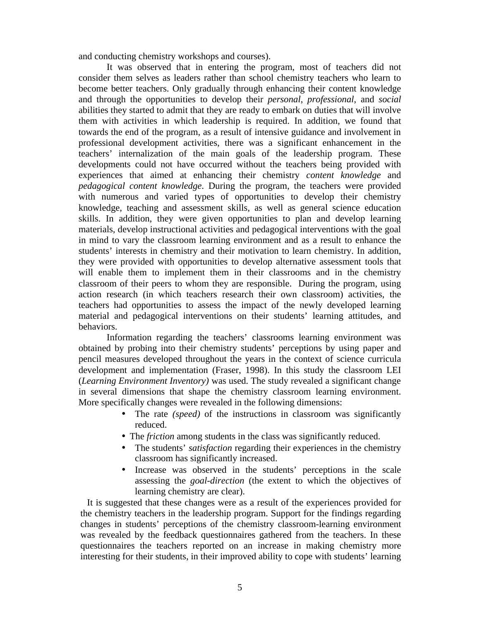and conducting chemistry workshops and courses).

It was observed that in entering the program, most of teachers did not consider them selves as leaders rather than school chemistry teachers who learn to become better teachers. Only gradually through enhancing their content knowledge and through the opportunities to develop their *personal*, *professional*, and *social* abilities they started to admit that they are ready to embark on duties that will involve them with activities in which leadership is required. In addition, we found that towards the end of the program, as a result of intensive guidance and involvement in professional development activities, there was a significant enhancement in the teachers' internalization of the main goals of the leadership program. These developments could not have occurred without the teachers being provided with experiences that aimed at enhancing their chemistry *content knowledge* and *pedagogical content knowledge*. During the program, the teachers were provided with numerous and varied types of opportunities to develop their chemistry knowledge, teaching and assessment skills, as well as general science education skills. In addition, they were given opportunities to plan and develop learning materials, develop instructional activities and pedagogical interventions with the goal in mind to vary the classroom learning environment and as a result to enhance the students' interests in chemistry and their motivation to learn chemistry. In addition, they were provided with opportunities to develop alternative assessment tools that will enable them to implement them in their classrooms and in the chemistry classroom of their peers to whom they are responsible. During the program, using action research (in which teachers research their own classroom) activities, the teachers had opportunities to assess the impact of the newly developed learning material and pedagogical interventions on their students' learning attitudes, and behaviors.

Information regarding the teachers' classrooms learning environment was obtained by probing into their chemistry students' perceptions by using paper and pencil measures developed throughout the years in the context of science curricula development and implementation (Fraser, 1998). In this study the classroom LEI (*Learning Environment Inventory)* was used. The study revealed a significant change in several dimensions that shape the chemistry classroom learning environment. More specifically changes were revealed in the following dimensions:

- The rate *(speed)* of the instructions in classroom was significantly reduced.
- The *friction* among students in the class was significantly reduced.
- The students' *satisfaction* regarding their experiences in the chemistry classroom has significantly increased.
- Increase was observed in the students' perceptions in the scale assessing the *goal-direction* (the extent to which the objectives of learning chemistry are clear).

It is suggested that these changes were as a result of the experiences provided for the chemistry teachers in the leadership program. Support for the findings regarding changes in students' perceptions of the chemistry classroom-learning environment was revealed by the feedback questionnaires gathered from the teachers. In these questionnaires the teachers reported on an increase in making chemistry more interesting for their students, in their improved ability to cope with students' learning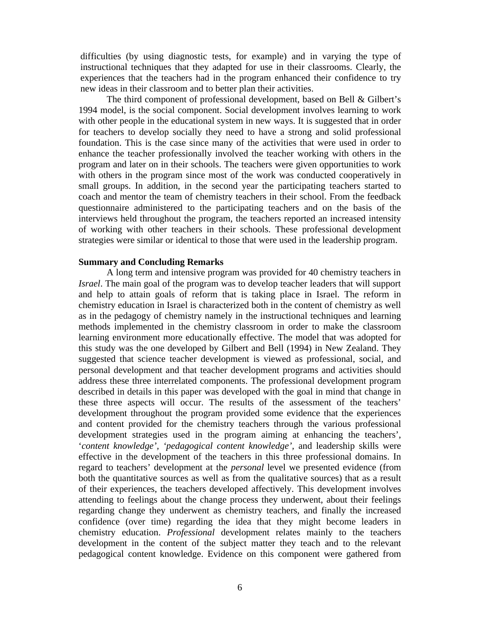difficulties (by using diagnostic tests, for example) and in varying the type of instructional techniques that they adapted for use in their classrooms. Clearly, the experiences that the teachers had in the program enhanced their confidence to try new ideas in their classroom and to better plan their activities.

The third component of professional development, based on Bell & Gilbert's 1994 model, is the social component. Social development involves learning to work with other people in the educational system in new ways. It is suggested that in order for teachers to develop socially they need to have a strong and solid professional foundation. This is the case since many of the activities that were used in order to enhance the teacher professionally involved the teacher working with others in the program and later on in their schools. The teachers were given opportunities to work with others in the program since most of the work was conducted cooperatively in small groups. In addition, in the second year the participating teachers started to coach and mentor the team of chemistry teachers in their school. From the feedback questionnaire administered to the participating teachers and on the basis of the interviews held throughout the program, the teachers reported an increased intensity of working with other teachers in their schools. These professional development strategies were similar or identical to those that were used in the leadership program.

#### **Summary and Concluding Remarks**

A long term and intensive program was provided for 40 chemistry teachers in *Israel*. The main goal of the program was to develop teacher leaders that will support and help to attain goals of reform that is taking place in Israel. The reform in chemistry education in Israel is characterized both in the content of chemistry as well as in the pedagogy of chemistry namely in the instructional techniques and learning methods implemented in the chemistry classroom in order to make the classroom learning environment more educationally effective. The model that was adopted for this study was the one developed by Gilbert and Bell (1994) in New Zealand. They suggested that science teacher development is viewed as professional, social, and personal development and that teacher development programs and activities should address these three interrelated components. The professional development program described in details in this paper was developed with the goal in mind that change in these three aspects will occur. The results of the assessment of the teachers' development throughout the program provided some evidence that the experiences and content provided for the chemistry teachers through the various professional development strategies used in the program aiming at enhancing the teachers', '*content knowledge', 'pedagogical content knowledge',* and leadership skills were effective in the development of the teachers in this three professional domains. In regard to teachers' development at the *personal* level we presented evidence (from both the quantitative sources as well as from the qualitative sources) that as a result of their experiences, the teachers developed affectively. This development involves attending to feelings about the change process they underwent, about their feelings regarding change they underwent as chemistry teachers, and finally the increased confidence (over time) regarding the idea that they might become leaders in chemistry education. *Professional* development relates mainly to the teachers development in the content of the subject matter they teach and to the relevant pedagogical content knowledge. Evidence on this component were gathered from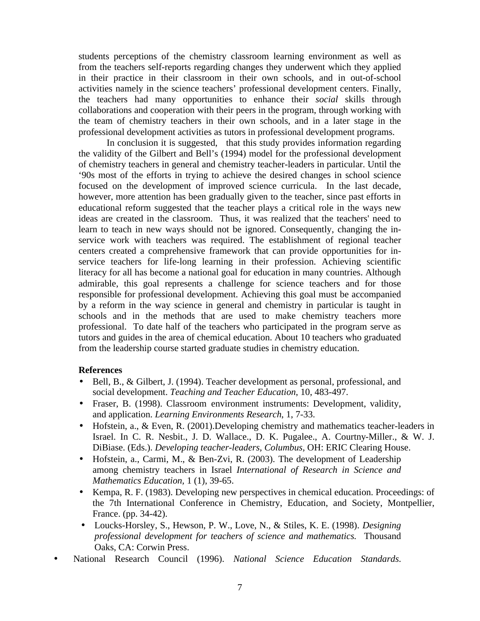students perceptions of the chemistry classroom learning environment as well as from the teachers self-reports regarding changes they underwent which they applied in their practice in their classroom in their own schools, and in out-of-school activities namely in the science teachers' professional development centers. Finally, the teachers had many opportunities to enhance their *social* skills through collaborations and cooperation with their peers in the program, through working with the team of chemistry teachers in their own schools, and in a later stage in the professional development activities as tutors in professional development programs.

In conclusion it is suggested, that this study provides information regarding the validity of the Gilbert and Bell's (1994) model for the professional development of chemistry teachers in general and chemistry teacher-leaders in particular. Until the '90s most of the efforts in trying to achieve the desired changes in school science focused on the development of improved science curricula. In the last decade, however, more attention has been gradually given to the teacher, since past efforts in educational reform suggested that the teacher plays a critical role in the ways new ideas are created in the classroom. Thus, it was realized that the teachers' need to learn to teach in new ways should not be ignored. Consequently, changing the inservice work with teachers was required. The establishment of regional teacher centers created a comprehensive framework that can provide opportunities for inservice teachers for life-long learning in their profession. Achieving scientific literacy for all has become a national goal for education in many countries. Although admirable, this goal represents a challenge for science teachers and for those responsible for professional development. Achieving this goal must be accompanied by a reform in the way science in general and chemistry in particular is taught in schools and in the methods that are used to make chemistry teachers more professional. To date half of the teachers who participated in the program serve as tutors and guides in the area of chemical education. About 10 teachers who graduated from the leadership course started graduate studies in chemistry education.

### **References**

- Bell, B., & Gilbert, J. (1994). Teacher development as personal, professional, and social development. *Teaching and Teacher Education*, 10, 483-497.
- Fraser, B. (1998). Classroom environment instruments: Development, validity, and application. *Learning Environments Research*, 1, 7-33.
- Hofstein, a., & Even, R. (2001).Developing chemistry and mathematics teacher-leaders in Israel. In C. R. Nesbit., J. D. Wallace., D. K. Pugalee., A. Courtny-Miller., & W. J. DiBiase. (Eds.). *Developing teacher-leaders, Columbus,* OH: ERIC Clearing House.
- Hofstein, a., Carmi, M., & Ben-Zvi, R. (2003). The development of Leadership among chemistry teachers in Israel *International of Research in Science and Mathematics Education,* 1 (1), 39-65.
- Kempa, R. F. (1983). Developing new perspectives in chemical education. Proceedings: of the 7th International Conference in Chemistry, Education, and Society, Montpellier, France. (pp. 34-42).
- Loucks-Horsley, S., Hewson, P. W., Love, N., & Stiles, K. E. (1998). *Designing professional development for teachers of science and mathematics.* Thousand Oaks, CA: Corwin Press.
- National Research Council (1996). *National Science Education Standards*.